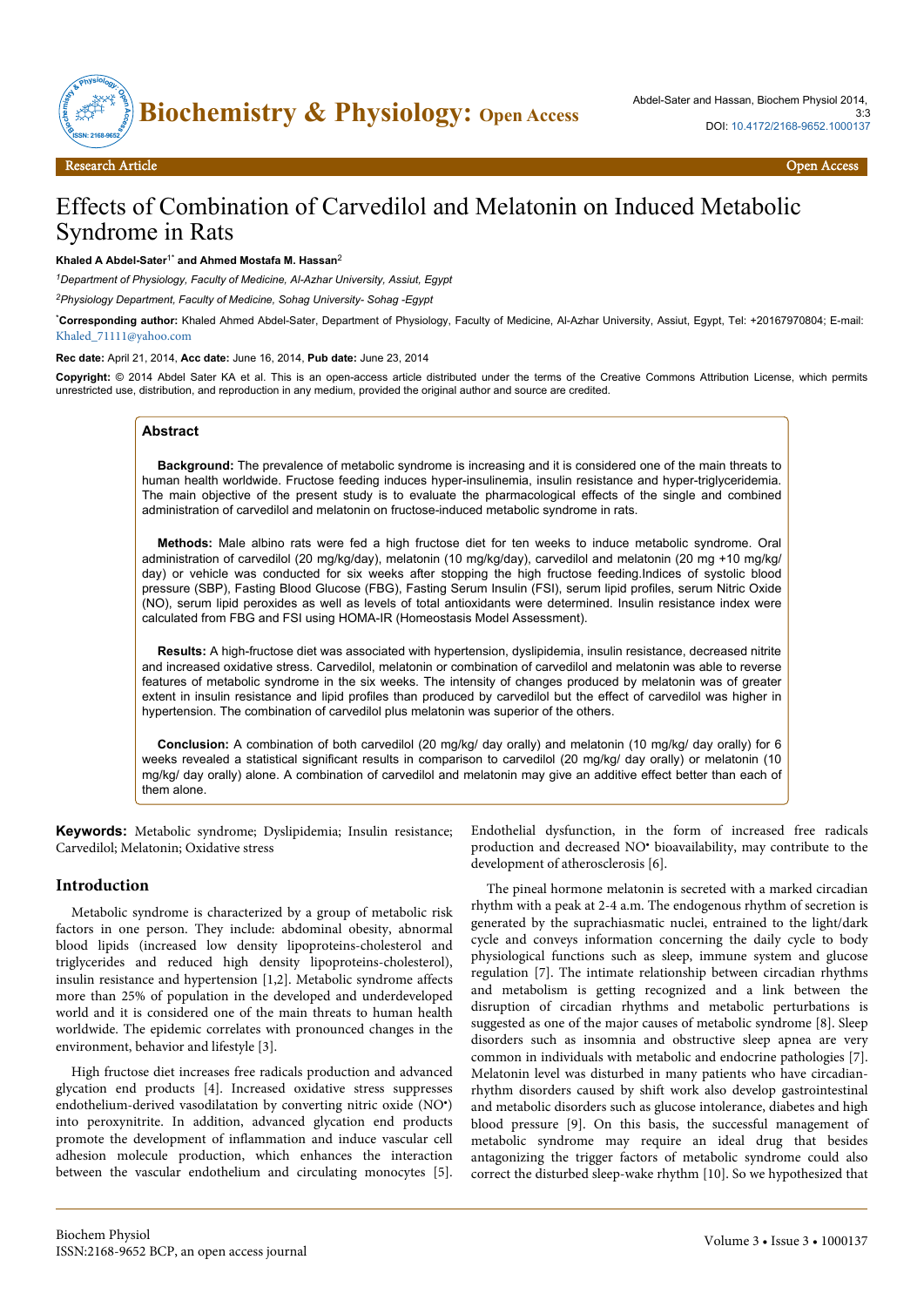

# Effects of Combination of Carvedilol and Melatonin on Induced Metabolic Syndrome in Rats

#### **Khaled A Abdel-Sater**1\* **and Ahmed Mostafa M. Hassan**<sup>2</sup>

*<sup>1</sup>Department of Physiology, Faculty of Medicine, Al-Azhar University, Assiut, Egypt*

*<sup>2</sup>Physiology Department, Faculty of Medicine, Sohag University- Sohag -Egypt*

\***Corresponding author:** Khaled Ahmed Abdel-Sater, Department of Physiology, Faculty of Medicine, Al-Azhar University, Assiut, Egypt, Tel: +20167970804; E-mail: [Khaled\\_71111@yahoo.com](mailto:Khaled_71111@yahoo.com)

**Rec date:** April 21, 2014, **Acc date:** June 16, 2014, **Pub date:** June 23, 2014

**Copyright:** © 2014 Abdel Sater KA et al. This is an open-access article distributed under the terms of the Creative Commons Attribution License, which permits unrestricted use, distribution, and reproduction in any medium, provided the original author and source are credited.

## **Abstract**

**Background:** The prevalence of metabolic syndrome is increasing and it is considered one of the main threats to human health worldwide. Fructose feeding induces hyper-insulinemia, insulin resistance and hyper-triglyceridemia. The main objective of the present study is to evaluate the pharmacological effects of the single and combined administration of carvedilol and melatonin on fructose-induced metabolic syndrome in rats.

**Methods:** Male albino rats were fed a high fructose diet for ten weeks to induce metabolic syndrome. Oral administration of carvedilol (20 mg/kg/day), melatonin (10 mg/kg/day), carvedilol and melatonin (20 mg +10 mg/kg/ day) or vehicle was conducted for six weeks after stopping the high fructose feeding.Indices of systolic blood pressure (SBP), Fasting Blood Glucose (FBG), Fasting Serum Insulin (FSI), serum lipid profiles, serum Nitric Oxide (NO), serum lipid peroxides as well as levels of total antioxidants were determined. Insulin resistance index were calculated from FBG and FSI using HOMA-IR (Homeostasis Model Assessment).

**Results:** A high-fructose diet was associated with hypertension, dyslipidemia, insulin resistance, decreased nitrite and increased oxidative stress. Carvedilol, melatonin or combination of carvedilol and melatonin was able to reverse features of metabolic syndrome in the six weeks. The intensity of changes produced by melatonin was of greater extent in insulin resistance and lipid profiles than produced by carvedilol but the effect of carvedilol was higher in hypertension. The combination of carvedilol plus melatonin was superior of the others.

**Conclusion:** A combination of both carvedilol (20 mg/kg/ day orally) and melatonin (10 mg/kg/ day orally) for 6 weeks revealed a statistical significant results in comparison to carvedilol (20 mg/kg/ day orally) or melatonin (10 mg/kg/ day orally) alone. A combination of carvedilol and melatonin may give an additive effect better than each of them alone.

**Keywords:** Metabolic syndrome; Dyslipidemia; Insulin resistance; Carvedilol; Melatonin; Oxidative stress

#### **Introduction**

Metabolic syndrome is characterized by a group of metabolic risk factors in one person. They include: abdominal obesity, abnormal blood lipids (increased low density lipoproteins-cholesterol and triglycerides and reduced high density lipoproteins-cholesterol), insulin resistance and hypertension [1,2]. Metabolic syndrome affects more than 25% of population in the developed and underdeveloped world and it is considered one of the main threats to human health worldwide. The epidemic correlates with pronounced changes in the environment, behavior and lifestyle [3].

High fructose diet increases free radicals production and advanced glycation end products [4]. Increased oxidative stress suppresses endothelium-derived vasodilatation by converting nitric oxide (NO• ) into peroxynitrite. In addition, advanced glycation end products promote the development of inflammation and induce vascular cell adhesion molecule production, which enhances the interaction between the vascular endothelium and circulating monocytes [5]. Endothelial dysfunction, in the form of increased free radicals production and decreased NO<sup>•</sup> bioavailability, may contribute to the development of atherosclerosis [6].

The pineal hormone melatonin is secreted with a marked circadian rhythm with a peak at 2-4 a.m. The endogenous rhythm of secretion is generated by the suprachiasmatic nuclei, entrained to the light/dark cycle and conveys information concerning the daily cycle to body physiological functions such as sleep, immune system and glucose regulation [7]. The intimate relationship between circadian rhythms and metabolism is getting recognized and a link between the disruption of circadian rhythms and metabolic perturbations is suggested as one of the major causes of metabolic syndrome [8]. Sleep disorders such as insomnia and obstructive sleep apnea are very common in individuals with metabolic and endocrine pathologies [7]. Melatonin level was disturbed in many patients who have circadianrhythm disorders caused by shift work also develop gastrointestinal and metabolic disorders such as glucose intolerance, diabetes and high blood pressure [9]. On this basis, the successful management of metabolic syndrome may require an ideal drug that besides antagonizing the trigger factors of metabolic syndrome could also correct the disturbed sleep-wake rhythm [10]. So we hypothesized that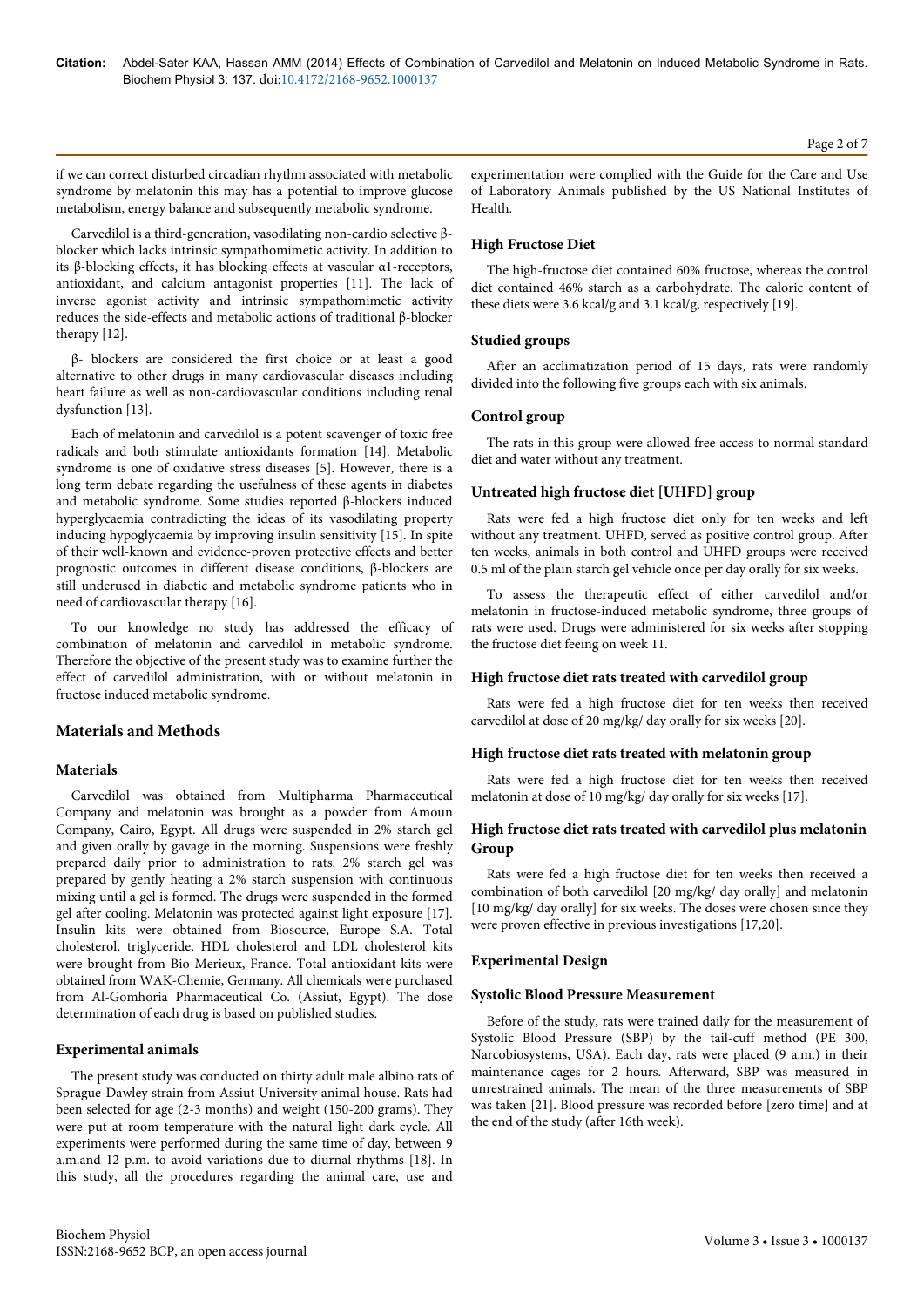if we can correct disturbed circadian rhythm associated with metabolic syndrome by melatonin this may has a potential to improve glucose metabolism, energy balance and subsequently metabolic syndrome.

Carvedilol is a third-generation, vasodilating non-cardio selective βblocker which lacks intrinsic sympathomimetic activity. In addition to its β-blocking effects, it has blocking effects at vascular α1-receptors, antioxidant, and calcium antagonist properties [11]. The lack of inverse agonist activity and intrinsic sympathomimetic activity reduces the side-effects and metabolic actions of traditional β-blocker therapy [12].

β- blockers are considered the first choice or at least a good alternative to other drugs in many cardiovascular diseases including heart failure as well as non-cardiovascular conditions including renal dysfunction [13].

Each of melatonin and carvedilol is a potent scavenger of toxic free radicals and both stimulate antioxidants formation [14]. Metabolic syndrome is one of oxidative stress diseases [5]. However, there is a long term debate regarding the usefulness of these agents in diabetes and metabolic syndrome. Some studies reported β-blockers induced hyperglycaemia contradicting the ideas of its vasodilating property inducing hypoglycaemia by improving insulin sensitivity [15]. In spite of their well-known and evidence-proven protective effects and better prognostic outcomes in different disease conditions, β-blockers are still underused in diabetic and metabolic syndrome patients who in need of cardiovascular therapy [16].

To our knowledge no study has addressed the efficacy of combination of melatonin and carvedilol in metabolic syndrome. Therefore the objective of the present study was to examine further the effect of carvedilol administration, with or without melatonin in fructose induced metabolic syndrome.

# **Materials and Methods**

# **Materials**

Carvedilol was obtained from Multipharma Pharmaceutical Company and melatonin was brought as a powder from Amoun Company, Cairo, Egypt. All drugs were suspended in 2% starch gel and given orally by gavage in the morning. Suspensions were freshly prepared daily prior to administration to rats. 2% starch gel was prepared by gently heating a 2% starch suspension with continuous mixing until a gel is formed. The drugs were suspended in the formed gel after cooling. Melatonin was protected against light exposure [17]. Insulin kits were obtained from Biosource, Europe S.A. Total cholesterol, triglyceride, HDL cholesterol and LDL cholesterol kits were brought from Bio Merieux, France. Total antioxidant kits were obtained from WAK-Chemie, Germany. All chemicals were purchased from Al-Gomhoria Pharmaceutical Co. (Assiut, Egypt). The dose determination of each drug is based on published studies.

# **Experimental animals**

The present study was conducted on thirty adult male albino rats of Sprague-Dawley strain from Assiut University animal house. Rats had been selected for age (2-3 months) and weight (150-200 grams). They were put at room temperature with the natural light dark cycle. All experiments were performed during the same time of day, between 9 a.m.and 12 p.m. to avoid variations due to diurnal rhythms [18]. In this study, all the procedures regarding the animal care, use and experimentation were complied with the Guide for the Care and Use of Laboratory Animals published by the US National Institutes of Health.

## **High Fructose Diet**

The high-fructose diet contained 60% fructose, whereas the control diet contained 46% starch as a carbohydrate. The caloric content of these diets were 3.6 kcal/g and 3.1 kcal/g, respectively [19].

#### **Studied groups**

After an acclimatization period of 15 days, rats were randomly divided into the following five groups each with six animals.

## **Control group**

The rats in this group were allowed free access to normal standard diet and water without any treatment.

#### **Untreated high fructose diet [UHFD] group**

Rats were fed a high fructose diet only for ten weeks and left without any treatment. UHFD, served as positive control group. After ten weeks, animals in both control and UHFD groups were received 0.5 ml of the plain starch gel vehicle once per day orally for six weeks.

To assess the therapeutic effect of either carvedilol and/or melatonin in fructose-induced metabolic syndrome, three groups of rats were used. Drugs were administered for six weeks after stopping the fructose diet feeing on week 11.

#### **High fructose diet rats treated with carvedilol group**

Rats were fed a high fructose diet for ten weeks then received carvedilol at dose of 20 mg/kg/ day orally for six weeks [20].

#### **High fructose diet rats treated with melatonin group**

Rats were fed a high fructose diet for ten weeks then received melatonin at dose of 10 mg/kg/ day orally for six weeks [17].

#### **High fructose diet rats treated with carvedilol plus melatonin Group**

Rats were fed a high fructose diet for ten weeks then received a combination of both carvedilol [20 mg/kg/ day orally] and melatonin [10 mg/kg/ day orally] for six weeks. The doses were chosen since they were proven effective in previous investigations [17,20].

#### **Experimental Design**

#### **Systolic Blood Pressure Measurement**

Before of the study, rats were trained daily for the measurement of Systolic Blood Pressure (SBP) by the tail-cuff method (PE 300, Narcobiosystems, USA). Each day, rats were placed (9 a.m.) in their maintenance cages for 2 hours. Afterward, SBP was measured in unrestrained animals. The mean of the three measurements of SBP was taken [21]. Blood pressure was recorded before [zero time] and at the end of the study (after 16th week).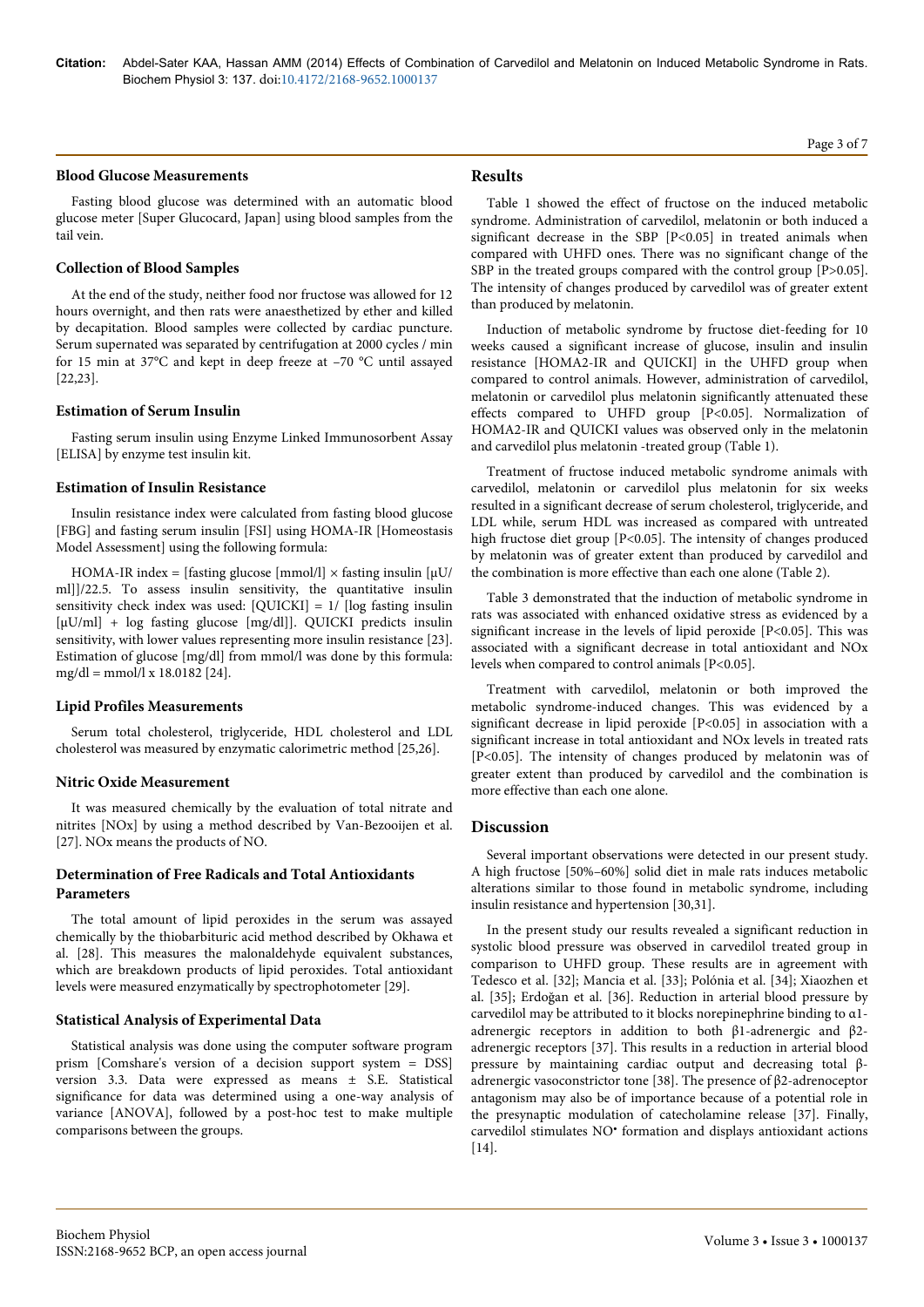#### **Blood Glucose Measurements**

Fasting blood glucose was determined with an automatic blood glucose meter [Super Glucocard, Japan] using blood samples from the tail vein.

#### **Collection of Blood Samples**

At the end of the study, neither food nor fructose was allowed for 12 hours overnight, and then rats were anaesthetized by ether and killed by decapitation. Blood samples were collected by cardiac puncture. Serum supernated was separated by centrifugation at 2000 cycles / min for 15 min at 37°C and kept in deep freeze at –70 °C until assayed [22,23].

#### **Estimation of Serum Insulin**

Fasting serum insulin using Enzyme Linked Immunosorbent Assay [ELISA] by enzyme test insulin kit.

#### **Estimation of Insulin Resistance**

Insulin resistance index were calculated from fasting blood glucose [FBG] and fasting serum insulin [FSI] using HOMA-IR [Homeostasis Model Assessment] using the following formula:

HOMA-IR index = [fasting glucose [mmol/l]  $\times$  fasting insulin [ $\mu$ U/ ml]]/22.5. To assess insulin sensitivity, the quantitative insulin sensitivity check index was used:  $[QUICKI] = 1/$  [log fasting insulin] [ $\mu$ U/ml] + log fasting glucose [mg/dl]]. QUICKI predicts insulin sensitivity, with lower values representing more insulin resistance [23]. Estimation of glucose [mg/dl] from mmol/l was done by this formula:  $mg/dl = mmol/l \times 18.0182$  [24].

#### **Lipid Profiles Measurements**

Serum total cholesterol, triglyceride, HDL cholesterol and LDL cholesterol was measured by enzymatic calorimetric method [25,26].

#### **Nitric Oxide Measurement**

It was measured chemically by the evaluation of total nitrate and nitrites [NOx] by using a method described by Van-Bezooijen et al. [27]. NOx means the products of NO.

## **Determination of Free Radicals and Total Antioxidants Parameters**

The total amount of lipid peroxides in the serum was assayed chemically by the thiobarbituric acid method described by Okhawa et al. [28]. This measures the malonaldehyde equivalent substances, which are breakdown products of lipid peroxides. Total antioxidant levels were measured enzymatically by spectrophotometer [29].

# **Statistical Analysis of Experimental Data**

Statistical analysis was done using the computer software program prism [Comshare's version of a decision support system = DSS] version 3.3. Data were expressed as means ± S.E. Statistical significance for data was determined using a one-way analysis of variance [ANOVA], followed by a post-hoc test to make multiple comparisons between the groups.

# **Results**

Table 1 showed the effect of fructose on the induced metabolic syndrome. Administration of carvedilol, melatonin or both induced a significant decrease in the SBP [P<0.05] in treated animals when compared with UHFD ones. There was no significant change of the SBP in the treated groups compared with the control group [P>0.05]. The intensity of changes produced by carvedilol was of greater extent than produced by melatonin.

Induction of metabolic syndrome by fructose diet-feeding for 10 weeks caused a significant increase of glucose, insulin and insulin resistance [HOMA2-IR and QUICKI] in the UHFD group when compared to control animals. However, administration of carvedilol, melatonin or carvedilol plus melatonin significantly attenuated these effects compared to UHFD group [P<0.05]. Normalization of HOMA2-IR and QUICKI values was observed only in the melatonin and carvedilol plus melatonin -treated group (Table 1).

Treatment of fructose induced metabolic syndrome animals with carvedilol, melatonin or carvedilol plus melatonin for six weeks resulted in a significant decrease of serum cholesterol, triglyceride, and LDL while, serum HDL was increased as compared with untreated high fructose diet group [P<0.05]. The intensity of changes produced by melatonin was of greater extent than produced by carvedilol and the combination is more effective than each one alone (Table 2).

Table 3 demonstrated that the induction of metabolic syndrome in rats was associated with enhanced oxidative stress as evidenced by a significant increase in the levels of lipid peroxide [P<0.05]. This was associated with a significant decrease in total antioxidant and NOx levels when compared to control animals [P<0.05].

Treatment with carvedilol, melatonin or both improved the metabolic syndrome-induced changes. This was evidenced by a significant decrease in lipid peroxide [P<0.05] in association with a significant increase in total antioxidant and NOx levels in treated rats [P<0.05]. The intensity of changes produced by melatonin was of greater extent than produced by carvedilol and the combination is more effective than each one alone.

# **Discussion**

Several important observations were detected in our present study. A high fructose [50%–60%] solid diet in male rats induces metabolic alterations similar to those found in metabolic syndrome, including insulin resistance and hypertension [30,31].

In the present study our results revealed a significant reduction in systolic blood pressure was observed in carvedilol treated group in comparison to UHFD group. These results are in agreement with Tedesco et al. [32]; Mancia et al. [33]; Polónia et al. [34]; Xiaozhen et al. [35]; Erdoğan et al. [36]. Reduction in arterial blood pressure by carvedilol may be attributed to it blocks norepinephrine binding to α1 adrenergic receptors in addition to both β1-adrenergic and β2 adrenergic receptors [37]. This results in a reduction in arterial blood pressure by maintaining cardiac output and decreasing total βadrenergic vasoconstrictor tone [38]. The presence of β2-adrenoceptor antagonism may also be of importance because of a potential role in the presynaptic modulation of catecholamine release [37]. Finally, carvedilol stimulates NO• formation and displays antioxidant actions [14].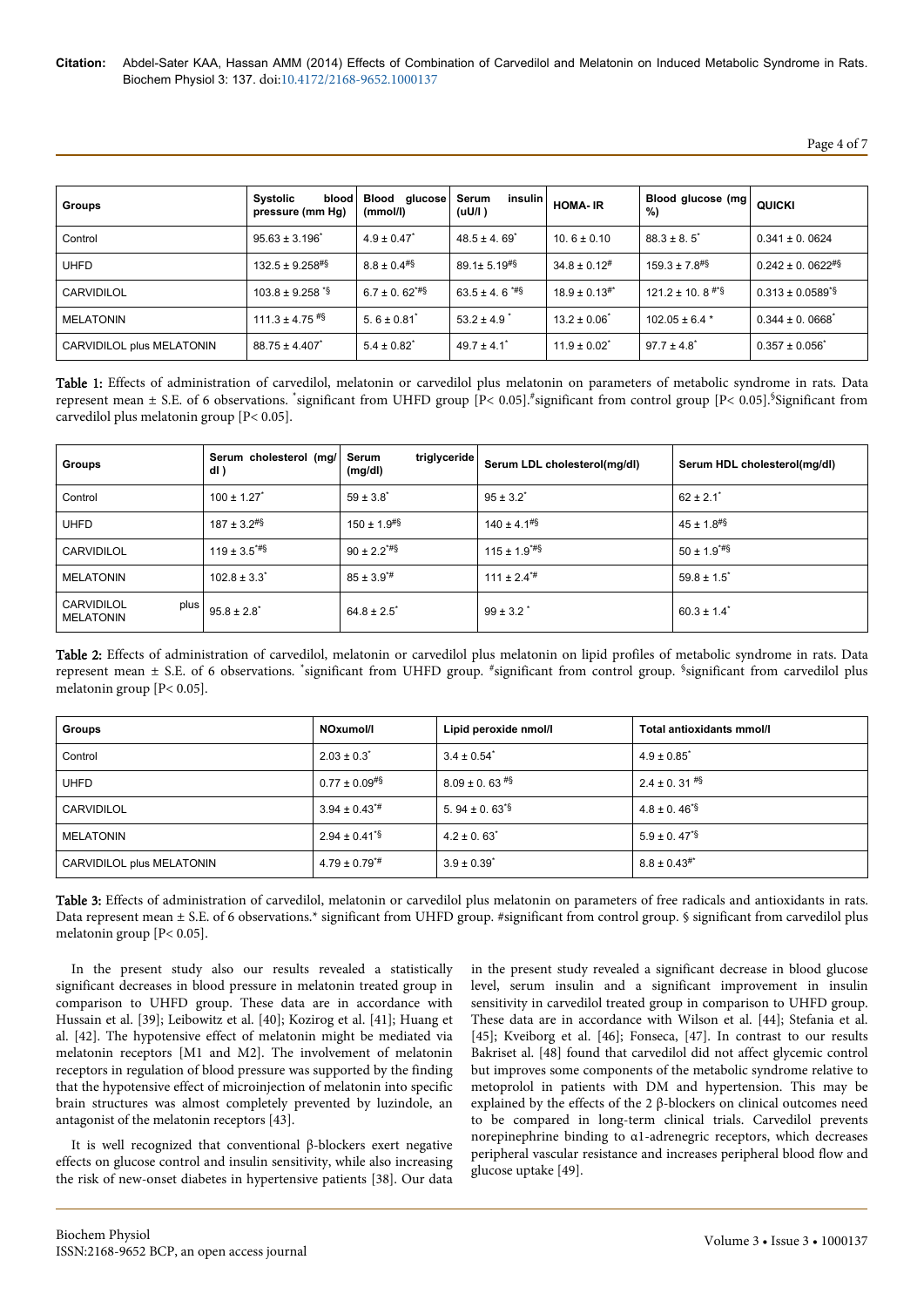Page 4 of 7

| Groups                    | blood l<br><b>Systolic</b><br>pressure (mm Hg) | Blood<br>glucose<br>(mmol/l) | insulin  <br>Serum<br>(uU/l) | <b>HOMA-IR</b>       | Blood glucose (mg)<br>%)      | QUICKI                           |
|---------------------------|------------------------------------------------|------------------------------|------------------------------|----------------------|-------------------------------|----------------------------------|
| Control                   | $95.63 \pm 3.196$ <sup>*</sup>                 | $4.9 \pm 0.47$ <sup>*</sup>  | $48.5 \pm 4.69$ <sup>*</sup> | $10.6 \pm 0.10$      | $88.3 \pm 8.5$                | $0.341 \pm 0.0624$               |
| <b>UHFD</b>               | $132.5 \pm 9.258$ <sup>#§</sup>                | $8.8 \pm 0.4$ #\$            | $89.1 \pm 5.19^{#}$          | $34.8 \pm 0.12^{\#}$ | $159.3 \pm 7.8$ <sup>#§</sup> | $0.242 \pm 0.0622^{#S}$          |
| CARVIDILOL                | $103.8 \pm 9.258$ sm $\frac{1258}{3}$          | $6.7 \pm 0.62^{\text{up}}$   | $63.5 \pm 4.6$ $^{**}\$      | $18.9 \pm 0.13^{**}$ | $121.2 \pm 10.8$ #*\$         | $0.313 \pm 0.0589$ <sup>*§</sup> |
| <b>MELATONIN</b>          | $111.3 \pm 4.75$ #§                            | $5.6 \pm 0.81$ <sup>*</sup>  | $53.2 \pm 4.9$               | $13.2 \pm 0.06^*$    | $102.05 \pm 6.4$ *            | $0.344 \pm 0.0668$ <sup>*</sup>  |
| CARVIDILOL plus MELATONIN | $88.75 \pm 4.407$                              | $5.4 \pm 0.82^*$             | $49.7 \pm 4.1$ <sup>*</sup>  | $11.9 \pm 0.02^*$    | $97.7 \pm 4.8$ <sup>*</sup>   | $0.357 \pm 0.056^*$              |

Table 1: Effects of administration of carvedilol, melatonin or carvedilol plus melatonin on parameters of metabolic syndrome in rats. Data represent mean ± S.E. of 6 observations. \*significant from UHFD group [P< 0.05].\*significant from control group [P< 0.05].§Significant from carvedilol plus melatonin group [P< 0.05].

| <b>Groups</b>                            | Serum cholesterol (mg/<br>dl) | triglyceride  <br>Serum<br>(mg/dl) | Serum LDL cholesterol(mg/dl) | Serum HDL cholesterol(mg/dl) |
|------------------------------------------|-------------------------------|------------------------------------|------------------------------|------------------------------|
| Control                                  | $100 \pm 1.27$                | $59 \pm 3.8$                       | $95 \pm 3.2^*$               | $62 \pm 2.1$                 |
| <b>UHFD</b>                              | $187 \pm 3.2^{# }$            | $150 \pm 1.9$ <sup>#§</sup>        | $140 \pm 4.1$ <sup>#§</sup>  | $45 \pm 1.8$ <sup>#§</sup>   |
| CARVIDILOL                               | $119 \pm 3.5$ <sup>*#§</sup>  | $90 \pm 2.2$ <sup>*#§</sup>        | $115 \pm 1.9$ <sup>*#§</sup> | $50 \pm 1.9$ <sup>*#§</sup>  |
| <b>MELATONIN</b>                         | $102.8 \pm 3.3$ <sup>*</sup>  | $85 \pm 3.9^{*}$ #                 | $111 \pm 2.4^{*}$            | $59.8 \pm 1.5$ <sup>*</sup>  |
| CARVIDILOL<br>plus  <br><b>MELATONIN</b> | $95.8 \pm 2.8$ <sup>*</sup>   | $64.8 \pm 2.5$                     | $99 \pm 3.2$                 | $60.3 \pm 1.4$ <sup>*</sup>  |

Table 2: Effects of administration of carvedilol, melatonin or carvedilol plus melatonin on lipid profiles of metabolic syndrome in rats. Data represent mean ± S.E. of 6 observations. \*significant from UHFD group. #significant from control group. <sup>\$</sup>significant from carvedilol plus melatonin group [P< 0.05].

| Groups                    | NOxumol/I                   | Lipid peroxide nmol/l       | Total antioxidants mmol/l   |
|---------------------------|-----------------------------|-----------------------------|-----------------------------|
| Control                   | $2.03 \pm 0.3^*$            | $3.4 \pm 0.54$ <sup>*</sup> | $4.9 \pm 0.85$ <sup>*</sup> |
| <b>UHFD</b>               | $0.77 \pm 0.09^{*8}$        | $8.09 \pm 0.63$ #\$         | $2.4 \pm 0.31$ #\$          |
| CARVIDILOL                | $3.94 \pm 0.43^{*}$         | 5.94 ± 0.63 <sup>*§</sup>   | $4.8 \pm 0.46^{8}$          |
| <b>MELATONIN</b>          | $2.94 \pm 0.41^{\text{*}}\$ | $4.2 \pm 0.63$              | $5.9 \pm 0.47^{8}$          |
| CARVIDILOL plus MELATONIN | $4.79 \pm 0.79^{* \#}$      | $3.9 \pm 0.39$ <sup>*</sup> | $8.8 \pm 0.43^{#*}$         |

Table 3: Effects of administration of carvedilol, melatonin or carvedilol plus melatonin on parameters of free radicals and antioxidants in rats. Data represent mean ± S.E. of 6 observations.\* significant from UHFD group. #significant from control group. § significant from carvedilol plus melatonin group [P< 0.05].

In the present study also our results revealed a statistically significant decreases in blood pressure in melatonin treated group in comparison to UHFD group. These data are in accordance with Hussain et al. [39]; Leibowitz et al. [40]; Kozirog et al. [41]; Huang et al. [42]. The hypotensive effect of melatonin might be mediated via melatonin receptors [M1 and M2]. The involvement of melatonin receptors in regulation of blood pressure was supported by the finding that the hypotensive effect of microinjection of melatonin into specific brain structures was almost completely prevented by luzindole, an antagonist of the melatonin receptors [43].

It is well recognized that conventional β-blockers exert negative effects on glucose control and insulin sensitivity, while also increasing the risk of new-onset diabetes in hypertensive patients [38]. Our data

in the present study revealed a significant decrease in blood glucose level, serum insulin and a significant improvement in insulin sensitivity in carvedilol treated group in comparison to UHFD group. These data are in accordance with Wilson et al. [44]; Stefania et al. [45]; Kveiborg et al. [46]; Fonseca, [47]. In contrast to our results Bakriset al. [48] found that carvedilol did not affect glycemic control but improves some components of the metabolic syndrome relative to metoprolol in patients with DM and hypertension. This may be explained by the effects of the 2 β-blockers on clinical outcomes need to be compared in long-term clinical trials. Carvedilol prevents norepinephrine binding to α1-adrenegric receptors, which decreases peripheral vascular resistance and increases peripheral blood flow and glucose uptake [49].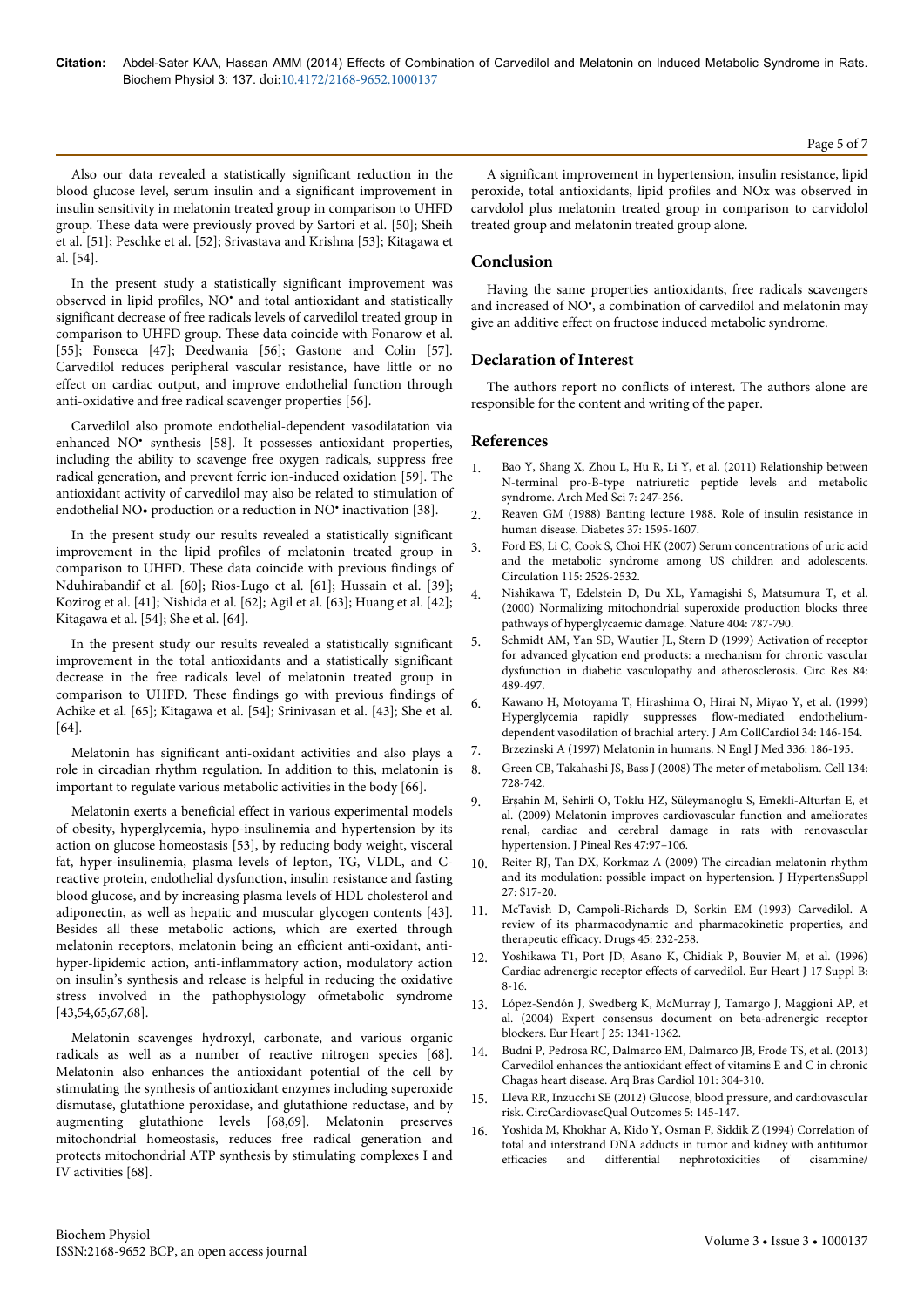Also our data revealed a statistically significant reduction in the blood glucose level, serum insulin and a significant improvement in insulin sensitivity in melatonin treated group in comparison to UHFD group. These data were previously proved by Sartori et al. [50]; Sheih et al. [51]; Peschke et al. [52]; Srivastava and Krishna [53]; Kitagawa et al. [54].

In the present study a statistically significant improvement was observed in lipid profiles, NO• and total antioxidant and statistically significant decrease of free radicals levels of carvedilol treated group in comparison to UHFD group. These data coincide with Fonarow et al. [55]; Fonseca [47]; Deedwania [56]; Gastone and Colin [57]. Carvedilol reduces peripheral vascular resistance, have little or no effect on cardiac output, and improve endothelial function through anti-oxidative and free radical scavenger properties [56].

Carvedilol also promote endothelial-dependent vasodilatation via enhanced NO<sup>•</sup> synthesis [58]. It possesses antioxidant properties, including the ability to scavenge free oxygen radicals, suppress free radical generation, and prevent ferric ion-induced oxidation [59]. The antioxidant activity of carvedilol may also be related to stimulation of endothelial NO• production or a reduction in NO• inactivation [38].

In the present study our results revealed a statistically significant improvement in the lipid profiles of melatonin treated group in comparison to UHFD. These data coincide with previous findings of Nduhirabandif et al. [60]; Rios-Lugo et al. [61]; Hussain et al. [39]; Kozirog et al. [41]; Nishida et al. [62]; Agil et al. [63]; Huang et al. [42]; Kitagawa et al. [54]; She et al. [64].

In the present study our results revealed a statistically significant improvement in the total antioxidants and a statistically significant decrease in the free radicals level of melatonin treated group in comparison to UHFD. These findings go with previous findings of Achike et al. [65]; Kitagawa et al. [54]; Srinivasan et al. [43]; She et al. [64].

Melatonin has significant anti-oxidant activities and also plays a role in circadian rhythm regulation. In addition to this, melatonin is important to regulate various metabolic activities in the body [66].

Melatonin exerts a beneficial effect in various experimental models of obesity, hyperglycemia, hypo-insulinemia and hypertension by its action on glucose homeostasis [53], by reducing body weight, visceral fat, hyper-insulinemia, plasma levels of lepton, TG, VLDL, and Creactive protein, endothelial dysfunction, insulin resistance and fasting blood glucose, and by increasing plasma levels of HDL cholesterol and adiponectin, as well as hepatic and muscular glycogen contents [43]. Besides all these metabolic actions, which are exerted through melatonin receptors, melatonin being an efficient anti-oxidant, antihyper-lipidemic action, anti-inflammatory action, modulatory action on insulin's synthesis and release is helpful in reducing the oxidative stress involved in the pathophysiology ofmetabolic syndrome [43,54,65,67,68].

Melatonin scavenges hydroxyl, carbonate, and various organic radicals as well as a number of reactive nitrogen species [68]. Melatonin also enhances the antioxidant potential of the cell by stimulating the synthesis of antioxidant enzymes including superoxide dismutase, glutathione peroxidase, and glutathione reductase, and by augmenting glutathione levels [68,69]. Melatonin preserves mitochondrial homeostasis, reduces free radical generation and protects mitochondrial ATP synthesis by stimulating complexes I and IV activities [68].

A significant improvement in hypertension, insulin resistance, lipid peroxide, total antioxidants, lipid profiles and NOx was observed in carvdolol plus melatonin treated group in comparison to carvidolol treated group and melatonin treated group alone.

# **Conclusion**

Having the same properties antioxidants, free radicals scavengers and increased of NO• , a combination of carvedilol and melatonin may give an additive effect on fructose induced metabolic syndrome.

# **Declaration of Interest**

The authors report no conflicts of interest. The authors alone are responsible for the content and writing of the paper.

# **References**

- 1. [Bao Y, Shang X, Zhou L, Hu R, Li Y, et al. \(2011\) Relationship between](http://www.ncbi.nlm.nih.gov/pubmed/22291764) [N-terminal pro-B-type natriuretic peptide levels and metabolic](http://www.ncbi.nlm.nih.gov/pubmed/22291764) [syndrome. Arch Med Sci 7: 247-256.](http://www.ncbi.nlm.nih.gov/pubmed/22291764)
- 2. [Reaven GM \(1988\) Banting lecture 1988. Role of insulin resistance in](http://www.ncbi.nlm.nih.gov/pubmed/3056758) [human disease. Diabetes 37: 1595-1607.](http://www.ncbi.nlm.nih.gov/pubmed/3056758)
- 3. [Ford ES, Li C, Cook S, Choi HK \(2007\) Serum concentrations of uric acid](http://www.ncbi.nlm.nih.gov/pubmed/17470699) [and the metabolic syndrome among US children and adolescents.](http://www.ncbi.nlm.nih.gov/pubmed/17470699) [Circulation 115: 2526-2532.](http://www.ncbi.nlm.nih.gov/pubmed/17470699)
- 4. [Nishikawa T, Edelstein D, Du XL, Yamagishi S, Matsumura T, et al.](http://www.ncbi.nlm.nih.gov/pubmed/10783895) [\(2000\) Normalizing mitochondrial superoxide production blocks three](http://www.ncbi.nlm.nih.gov/pubmed/10783895) [pathways of hyperglycaemic damage. Nature 404: 787-790.](http://www.ncbi.nlm.nih.gov/pubmed/10783895)
- 5. [Schmidt AM, Yan SD, Wautier JL, Stern D \(1999\) Activation of receptor](http://www.ncbi.nlm.nih.gov/pubmed/10082470) [for advanced glycation end products: a mechanism for chronic vascular](http://www.ncbi.nlm.nih.gov/pubmed/10082470) [dysfunction in diabetic vasculopathy and atherosclerosis. Circ Res 84:](http://www.ncbi.nlm.nih.gov/pubmed/10082470) [489-497.](http://www.ncbi.nlm.nih.gov/pubmed/10082470)
- 6. [Kawano H, Motoyama T, Hirashima O, Hirai N, Miyao Y, et al. \(1999\)](http://www.ncbi.nlm.nih.gov/pubmed/10400004) [Hyperglycemia rapidly suppresses flow-mediated endothelium](http://www.ncbi.nlm.nih.gov/pubmed/10400004)[dependent vasodilation of brachial artery. J Am CollCardiol 34: 146-154.](http://www.ncbi.nlm.nih.gov/pubmed/10400004)
- 7. [Brzezinski A \(1997\) Melatonin in humans. N Engl J Med 336: 186-195.](http://www.ncbi.nlm.nih.gov/pubmed/8988899)
- 8. [Green CB, Takahashi JS, Bass J \(2008\) The meter of metabolism. Cell 134:](http://www.ncbi.nlm.nih.gov/pubmed/18775307) [728-742.](http://www.ncbi.nlm.nih.gov/pubmed/18775307)
- 9. [Erşahin M, Sehirli O, Toklu HZ, Süleymanoglu S, Emekli-Alturfan E, et](http://www.ncbi.nlm.nih.gov/pubmed/19549002) [al. \(2009\) Melatonin improves cardiovascular function and ameliorates](http://www.ncbi.nlm.nih.gov/pubmed/19549002) [renal, cardiac and cerebral damage in rats with renovascular](http://www.ncbi.nlm.nih.gov/pubmed/19549002) [hypertension. J Pineal Res 47:97–106.](http://www.ncbi.nlm.nih.gov/pubmed/19549002)
- 10. [Reiter RJ, Tan DX, Korkmaz A \(2009\) The circadian melatonin rhythm](http://www.ncbi.nlm.nih.gov/pubmed/19633446) [and its modulation: possible impact on hypertension. J HypertensSuppl](http://www.ncbi.nlm.nih.gov/pubmed/19633446) [27: S17-20.](http://www.ncbi.nlm.nih.gov/pubmed/19633446)
- 11. [McTavish D, Campoli-Richards D, Sorkin EM \(1993\) Carvedilol. A](http://www.ncbi.nlm.nih.gov/pubmed/7681374) [review of its pharmacodynamic and pharmacokinetic properties, and](http://www.ncbi.nlm.nih.gov/pubmed/7681374) [therapeutic efficacy. Drugs 45: 232-258.](http://www.ncbi.nlm.nih.gov/pubmed/7681374)
- 12. [Yoshikawa T1, Port JD, Asano K, Chidiak P, Bouvier M, et al. \(1996\)](http://www.ncbi.nlm.nih.gov/pubmed/8733065) [Cardiac adrenergic receptor effects of carvedilol. Eur Heart J 17 Suppl B:](http://www.ncbi.nlm.nih.gov/pubmed/8733065) [8-16.](http://www.ncbi.nlm.nih.gov/pubmed/8733065)
- 13. [López-Sendón J, Swedberg K, McMurray J, Tamargo J, Maggioni AP, et](http://www.ncbi.nlm.nih.gov/pubmed/15288162) [al. \(2004\) Expert consensus document on beta-adrenergic receptor](http://www.ncbi.nlm.nih.gov/pubmed/15288162) [blockers. Eur Heart J 25: 1341-1362.](http://www.ncbi.nlm.nih.gov/pubmed/15288162)
- 14. [Budni P, Pedrosa RC, Dalmarco EM, Dalmarco JB, Frode TS, et al. \(2013\)](http://www.ncbi.nlm.nih.gov/pubmed/24008655) [Carvedilol enhances the antioxidant effect of vitamins E and C in chronic](http://www.ncbi.nlm.nih.gov/pubmed/24008655) [Chagas heart disease. Arq Bras Cardiol 101: 304-310.](http://www.ncbi.nlm.nih.gov/pubmed/24008655)
- 15. [Lleva RR, Inzucchi SE \(2012\) Glucose, blood pressure, and cardiovascular](http://www.ncbi.nlm.nih.gov/pubmed/22438461) [risk. CircCardiovascQual Outcomes 5: 145-147.](http://www.ncbi.nlm.nih.gov/pubmed/22438461)
- 16. [Yoshida M, Khokhar A, Kido Y, Osman F, Siddik Z \(1994\) Correlation of](http://www.sciencedirect.com/science/article/pii/0006295294900582) [total and interstrand DNA adducts in tumor and kidney with antitumor](http://www.sciencedirect.com/science/article/pii/0006295294900582)<br>efficacies and differential nephrotoxicities of cisammine/ differential nephrotoxicities of cisammine/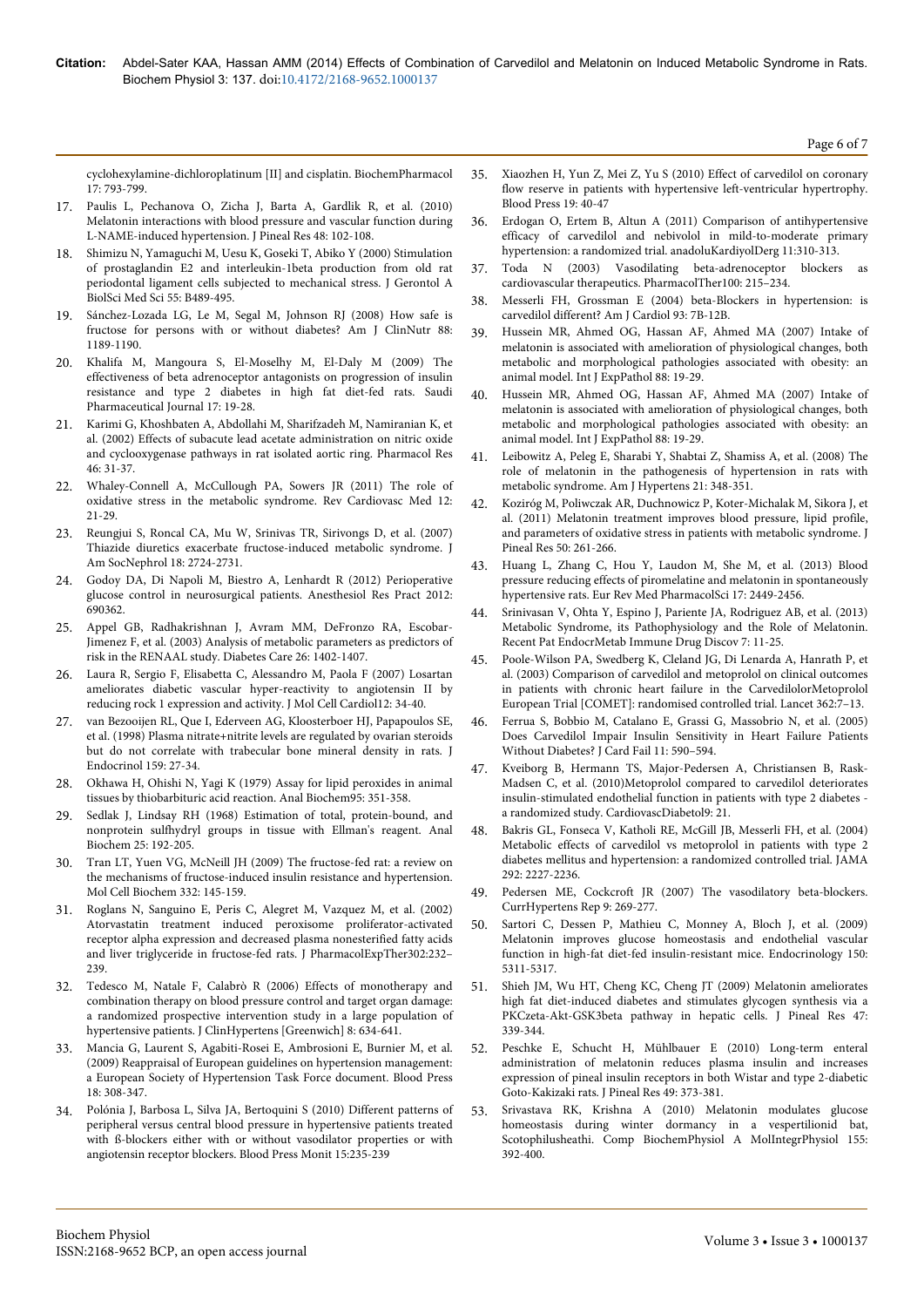[cyclohexylamine-dichloroplatinum \[II\] and cisplatin. BiochemPharmacol](http://www.sciencedirect.com/science/article/pii/0006295294900582) [17: 793-799.](http://www.sciencedirect.com/science/article/pii/0006295294900582)

- 17. [Paulis L, Pechanova O, Zicha J, Barta A, Gardlik R, et al. \(2010\)](http://www.ncbi.nlm.nih.gov/pubmed/20041987) [Melatonin interactions with blood pressure and vascular function during](http://www.ncbi.nlm.nih.gov/pubmed/20041987) [L-NAME-induced hypertension. J Pineal Res 48: 102-108.](http://www.ncbi.nlm.nih.gov/pubmed/20041987)
- 18. [Shimizu N, Yamaguchi M, Uesu K, Goseki T, Abiko Y \(2000\) Stimulation](http://www.ncbi.nlm.nih.gov/pubmed/11034222) [of prostaglandin E2 and interleukin-1beta production from old rat](http://www.ncbi.nlm.nih.gov/pubmed/11034222) [periodontal ligament cells subjected to mechanical stress. J Gerontol A](http://www.ncbi.nlm.nih.gov/pubmed/11034222) [BiolSci Med Sci 55: B489-495.](http://www.ncbi.nlm.nih.gov/pubmed/11034222)
- 19. [Sánchez-Lozada LG, Le M, Segal M, Johnson RJ \(2008\) How safe is](http://www.ncbi.nlm.nih.gov/pubmed/18996851) [fructose for persons with or without diabetes? Am J ClinNutr 88:](http://www.ncbi.nlm.nih.gov/pubmed/18996851) [1189-1190.](http://www.ncbi.nlm.nih.gov/pubmed/18996851)
- 20. [Khalifa M, Mangoura S, El-Moselhy M, El-Daly M \(2009\) The](http://faculty.ksu.edu.sa/hisham/Documents/SPJ/170103.pdf) [effectiveness of beta adrenoceptor antagonists on progression of insulin](http://faculty.ksu.edu.sa/hisham/Documents/SPJ/170103.pdf) [resistance and type 2 diabetes in high fat diet-fed rats. Saudi](http://faculty.ksu.edu.sa/hisham/Documents/SPJ/170103.pdf) [Pharmaceutical Journal 17: 19-28.](http://faculty.ksu.edu.sa/hisham/Documents/SPJ/170103.pdf)
- 21. [Karimi G, Khoshbaten A, Abdollahi M, Sharifzadeh M, Namiranian K, et](http://www.ncbi.nlm.nih.gov/pubmed/12208118) [al. \(2002\) Effects of subacute lead acetate administration on nitric oxide](http://www.ncbi.nlm.nih.gov/pubmed/12208118) [and cyclooxygenase pathways in rat isolated aortic ring. Pharmacol Res](http://www.ncbi.nlm.nih.gov/pubmed/12208118) [46: 31-37.](http://www.ncbi.nlm.nih.gov/pubmed/12208118)
- 22. [Whaley-Connell A, McCullough PA, Sowers JR \(2011\) The role of](http://www.ncbi.nlm.nih.gov/pubmed/21546885) [oxidative stress in the metabolic syndrome. Rev Cardiovasc Med 12:](http://www.ncbi.nlm.nih.gov/pubmed/21546885) [21-29.](http://www.ncbi.nlm.nih.gov/pubmed/21546885)
- 23. [Reungjui S, Roncal CA, Mu W, Srinivas TR, Sirivongs D, et al. \(2007\)](http://www.ncbi.nlm.nih.gov/pubmed/17855639) [Thiazide diuretics exacerbate fructose-induced metabolic syndrome. J](http://www.ncbi.nlm.nih.gov/pubmed/17855639) [Am SocNephrol 18: 2724-2731.](http://www.ncbi.nlm.nih.gov/pubmed/17855639)
- 24. [Godoy DA, Di Napoli M, Biestro A, Lenhardt R \(2012\) Perioperative](http://www.ncbi.nlm.nih.gov/pubmed/22400022) [glucose control in neurosurgical patients. Anesthesiol Res Pract 2012:](http://www.ncbi.nlm.nih.gov/pubmed/22400022) [690362.](http://www.ncbi.nlm.nih.gov/pubmed/22400022)
- 25. [Appel GB, Radhakrishnan J, Avram MM, DeFronzo RA, Escobar-](http://www.ncbi.nlm.nih.gov/pubmed/12716796)[Jimenez F, et al. \(2003\) Analysis of metabolic parameters as predictors of](http://www.ncbi.nlm.nih.gov/pubmed/12716796) [risk in the RENAAL study. Diabetes Care 26: 1402-1407.](http://www.ncbi.nlm.nih.gov/pubmed/12716796)
- 26. Laura R, Sergio F, Elisabetta C, Alessandro M, Paola F (2007) Losartan ameliorates diabetic vascular hyper-reactivity to angiotensin II by reducing rock 1 expression and activity. J Mol Cell Cardiol12: 34-40.
- 27. [van Bezooijen RL, Que I, Ederveen AG, Kloosterboer HJ, Papapoulos SE,](http://www.ncbi.nlm.nih.gov/pubmed/9795338) [et al. \(1998\) Plasma nitrate+nitrite levels are regulated by ovarian steroids](http://www.ncbi.nlm.nih.gov/pubmed/9795338) [but do not correlate with trabecular bone mineral density in rats. J](http://www.ncbi.nlm.nih.gov/pubmed/9795338) [Endocrinol 159: 27-34.](http://www.ncbi.nlm.nih.gov/pubmed/9795338)
- 28. [Okhawa H, Ohishi N, Yagi K \(1979\) Assay for lipid peroxides in animal](http://www.ncbi.nlm.nih.gov/pubmed/36810) [tissues by thiobarbituric acid reaction. Anal Biochem95: 351-358.](http://www.ncbi.nlm.nih.gov/pubmed/36810)
- 29. [Sedlak J, Lindsay RH \(1968\) Estimation of total, protein-bound, and](http://www.ncbi.nlm.nih.gov/pubmed/4973948) [nonprotein sulfhydryl groups in tissue with Ellman's reagent. Anal](http://www.ncbi.nlm.nih.gov/pubmed/4973948) [Biochem 25: 192-205.](http://www.ncbi.nlm.nih.gov/pubmed/4973948)
- 30. [Tran LT, Yuen VG, McNeill JH \(2009\) The fructose-fed rat: a review on](http://www.ncbi.nlm.nih.gov/pubmed/19536638) [the mechanisms of fructose-induced insulin resistance and hypertension.](http://www.ncbi.nlm.nih.gov/pubmed/19536638) [Mol Cell Biochem 332: 145-159.](http://www.ncbi.nlm.nih.gov/pubmed/19536638)
- 31. [Roglans N, Sanguino E, Peris C, Alegret M, Vazquez M, et al. \(2002\)](http://www.ncbi.nlm.nih.gov/pubmed/12065722) [Atorvastatin treatment induced peroxisome proliferator-activated](http://www.ncbi.nlm.nih.gov/pubmed/12065722) [receptor alpha expression and decreased plasma nonesterified fatty acids](http://www.ncbi.nlm.nih.gov/pubmed/12065722) [and liver triglyceride in fructose-fed rats. J PharmacolExpTher302:232–](http://www.ncbi.nlm.nih.gov/pubmed/12065722) [239.](http://www.ncbi.nlm.nih.gov/pubmed/12065722)
- 32. [Tedesco M, Natale F, Calabrò R \(2006\) Effects of monotherapy and](http://www.ncbi.nlm.nih.gov/pubmed/16957425) [combination therapy on blood pressure control and target organ damage:](http://www.ncbi.nlm.nih.gov/pubmed/16957425) [a randomized prospective intervention study in a large population of](http://www.ncbi.nlm.nih.gov/pubmed/16957425) [hypertensive patients. J ClinHypertens \[Greenwich\] 8: 634-641.](http://www.ncbi.nlm.nih.gov/pubmed/16957425)
- 33. [Mancia G, Laurent S, Agabiti-Rosei E, Ambrosioni E, Burnier M, et al.](http://www.ncbi.nlm.nih.gov/pubmed/20001654) [\(2009\) Reappraisal of European guidelines on hypertension management:](http://www.ncbi.nlm.nih.gov/pubmed/20001654) [a European Society of Hypertension Task Force document. Blood Press](http://www.ncbi.nlm.nih.gov/pubmed/20001654) [18: 308-347.](http://www.ncbi.nlm.nih.gov/pubmed/20001654)
- 34. [Polónia J, Barbosa L, Silva JA, Bertoquini S \(2010\) Different patterns of](http://www.ncbi.nlm.nih.gov/pubmed/20577082) [peripheral versus central blood pressure in hypertensive patients treated](http://www.ncbi.nlm.nih.gov/pubmed/20577082) [with ß-blockers either with or without vasodilator properties or with](http://www.ncbi.nlm.nih.gov/pubmed/20577082) [angiotensin receptor blockers. Blood Press Monit 15:235-239](http://www.ncbi.nlm.nih.gov/pubmed/20577082)
- 35. [Xiaozhen H, Yun Z, Mei Z, Yu S \(2010\) Effect of carvedilol on coronary](http://www.ncbi.nlm.nih.gov/pubmed/20001392) [flow reserve in patients with hypertensive left-ventricular hypertrophy.](http://www.ncbi.nlm.nih.gov/pubmed/20001392) [Blood Press 19: 40-47](http://www.ncbi.nlm.nih.gov/pubmed/20001392)
- 36. [Erdogan O, Ertem B, Altun A \(2011\) Comparison of antihypertensive](http://www.ncbi.nlm.nih.gov/pubmed/21543293) [efficacy of carvedilol and nebivolol in mild-to-moderate primary](http://www.ncbi.nlm.nih.gov/pubmed/21543293) [hypertension: a randomized trial. anadoluKardiyolDerg 11:310-313.](http://www.ncbi.nlm.nih.gov/pubmed/21543293)
- 37. [Toda N \(2003\) Vasodilating beta-adrenoceptor blockers as](http://www.ncbi.nlm.nih.gov/pubmed/14652111) [cardiovascular therapeutics. PharmacolTher100: 215–234.](http://www.ncbi.nlm.nih.gov/pubmed/14652111)
- 38. [Messerli FH, Grossman E \(2004\) beta-Blockers in hypertension: is](http://www.ncbi.nlm.nih.gov/pubmed/15144930) [carvedilol different? Am J Cardiol 93: 7B-12B.](http://www.ncbi.nlm.nih.gov/pubmed/15144930)
- 39. [Hussein MR, Ahmed OG, Hassan AF, Ahmed MA \(2007\) Intake of](http://www.ncbi.nlm.nih.gov/pubmed/17244335) [melatonin is associated with amelioration of physiological changes, both](http://www.ncbi.nlm.nih.gov/pubmed/17244335) [metabolic and morphological pathologies associated with obesity: an](http://www.ncbi.nlm.nih.gov/pubmed/17244335) [animal model. Int J ExpPathol 88: 19-29.](http://www.ncbi.nlm.nih.gov/pubmed/17244335)
- 40. [Hussein MR, Ahmed OG, Hassan AF, Ahmed MA \(2007\) Intake of](http://www.ncbi.nlm.nih.gov/pubmed/17244335) [melatonin is associated with amelioration of physiological changes, both](http://www.ncbi.nlm.nih.gov/pubmed/17244335) [metabolic and morphological pathologies associated with obesity: an](http://www.ncbi.nlm.nih.gov/pubmed/17244335) [animal model. Int J ExpPathol 88: 19-29.](http://www.ncbi.nlm.nih.gov/pubmed/17244335)
- 41. [Leibowitz A, Peleg E, Sharabi Y, Shabtai Z, Shamiss A, et al. \(2008\) The](http://www.ncbi.nlm.nih.gov/pubmed/18219301) [role of melatonin in the pathogenesis of hypertension in rats with](http://www.ncbi.nlm.nih.gov/pubmed/18219301) [metabolic syndrome. Am J Hypertens 21: 348-351.](http://www.ncbi.nlm.nih.gov/pubmed/18219301)
- 42. [Koziróg M, Poliwczak AR, Duchnowicz P, Koter-Michalak M, Sikora J, et](http://www.ncbi.nlm.nih.gov/pubmed/21138476) [al. \(2011\) Melatonin treatment improves blood pressure, lipid profile,](http://www.ncbi.nlm.nih.gov/pubmed/21138476) [and parameters of oxidative stress in patients with metabolic syndrome. J](http://www.ncbi.nlm.nih.gov/pubmed/21138476) [Pineal Res 50: 261-266.](http://www.ncbi.nlm.nih.gov/pubmed/21138476)
- 43. [Huang L, Zhang C, Hou Y, Laudon M, She M, et al. \(2013\) Blood](http://www.ncbi.nlm.nih.gov/pubmed/24089222) [pressure reducing effects of piromelatine and melatonin in spontaneously](http://www.ncbi.nlm.nih.gov/pubmed/24089222) [hypertensive rats. Eur Rev Med PharmacolSci 17: 2449-2456.](http://www.ncbi.nlm.nih.gov/pubmed/24089222)
- 44. [Srinivasan V, Ohta Y, Espino J, Pariente JA, Rodriguez AB, et al. \(2013\)](http://www.ncbi.nlm.nih.gov/pubmed/22946959) [Metabolic Syndrome, its Pathophysiology and the Role of Melatonin.](http://www.ncbi.nlm.nih.gov/pubmed/22946959) [Recent Pat EndocrMetab Immune Drug Discov 7: 11-25.](http://www.ncbi.nlm.nih.gov/pubmed/22946959)
- 45. [Poole-Wilson PA, Swedberg K, Cleland JG, Di Lenarda A, Hanrath P, et](http://www.ncbi.nlm.nih.gov/pubmed/12853193) [al. \(2003\) Comparison of carvedilol and metoprolol on clinical outcomes](http://www.ncbi.nlm.nih.gov/pubmed/12853193) [in patients with chronic heart failure in the CarvedilolorMetoprolol](http://www.ncbi.nlm.nih.gov/pubmed/12853193) [European Trial \[COMET\]: randomised controlled trial. Lancet 362:7–13.](http://www.ncbi.nlm.nih.gov/pubmed/12853193)
- 46. [Ferrua S, Bobbio M, Catalano E, Grassi G, Massobrio N, et al. \(2005\)](http://www.ncbi.nlm.nih.gov/pubmed/16230261) [Does Carvedilol Impair Insulin Sensitivity in Heart Failure Patients](http://www.ncbi.nlm.nih.gov/pubmed/16230261) [Without Diabetes? J Card Fail 11: 590–594.](http://www.ncbi.nlm.nih.gov/pubmed/16230261)
- 47. [Kveiborg B, Hermann TS, Major-Pedersen A, Christiansen B, Rask-](http://www.ncbi.nlm.nih.gov/pubmed/20500877)[Madsen C, et al. \(2010\)Metoprolol compared to carvedilol deteriorates](http://www.ncbi.nlm.nih.gov/pubmed/20500877) [insulin-stimulated endothelial function in patients with type 2 diabetes](http://www.ncbi.nlm.nih.gov/pubmed/20500877)  [a randomized study. CardiovascDiabetol9: 21.](http://www.ncbi.nlm.nih.gov/pubmed/20500877)
- 48. [Bakris GL, Fonseca V, Katholi RE, McGill JB, Messerli FH, et al. \(2004\)](http://www.ncbi.nlm.nih.gov/pubmed/15536109) [Metabolic effects of carvedilol vs metoprolol in patients with type 2](http://www.ncbi.nlm.nih.gov/pubmed/15536109) [diabetes mellitus and hypertension: a randomized controlled trial. JAMA](http://www.ncbi.nlm.nih.gov/pubmed/15536109) [292: 2227-2236.](http://www.ncbi.nlm.nih.gov/pubmed/15536109)
- 49. [Pedersen ME, Cockcroft JR \(2007\) The vasodilatory beta-blockers.](http://www.ncbi.nlm.nih.gov/pubmed/17686376) [CurrHypertens Rep 9: 269-277.](http://www.ncbi.nlm.nih.gov/pubmed/17686376)
- 50. [Sartori C, Dessen P, Mathieu C, Monney A, Bloch J, et al. \(2009\)](http://www.ncbi.nlm.nih.gov/pubmed/19819971) [Melatonin improves glucose homeostasis and endothelial vascular](http://www.ncbi.nlm.nih.gov/pubmed/19819971) [function in high-fat diet-fed insulin-resistant mice. Endocrinology 150:](http://www.ncbi.nlm.nih.gov/pubmed/19819971) [5311-5317.](http://www.ncbi.nlm.nih.gov/pubmed/19819971)
- 51. [Shieh JM, Wu HT, Cheng KC, Cheng JT \(2009\) Melatonin ameliorates](http://www.ncbi.nlm.nih.gov/pubmed/19817973) [high fat diet-induced diabetes and stimulates glycogen synthesis via a](http://www.ncbi.nlm.nih.gov/pubmed/19817973) [PKCzeta-Akt-GSK3beta pathway in hepatic cells. J Pineal Res 47:](http://www.ncbi.nlm.nih.gov/pubmed/19817973) [339-344.](http://www.ncbi.nlm.nih.gov/pubmed/19817973)
- 52. [Peschke E, Schucht H, Mühlbauer E \(2010\) Long-term enteral](http://www.ncbi.nlm.nih.gov/pubmed/20840603) [administration of melatonin reduces plasma insulin and increases](http://www.ncbi.nlm.nih.gov/pubmed/20840603) [expression of pineal insulin receptors in both Wistar and type 2-diabetic](http://www.ncbi.nlm.nih.gov/pubmed/20840603) [Goto-Kakizaki rats. J Pineal Res 49: 373-381.](http://www.ncbi.nlm.nih.gov/pubmed/20840603)
- [Srivastava RK, Krishna A \(2010\) Melatonin modulates glucose](http://www.ncbi.nlm.nih.gov/pubmed/20026417) [homeostasis during winter dormancy in a vespertilionid bat,](http://www.ncbi.nlm.nih.gov/pubmed/20026417) [Scotophilusheathi. Comp BiochemPhysiol A MolIntegrPhysiol 155:](http://www.ncbi.nlm.nih.gov/pubmed/20026417) [392-400.](http://www.ncbi.nlm.nih.gov/pubmed/20026417)